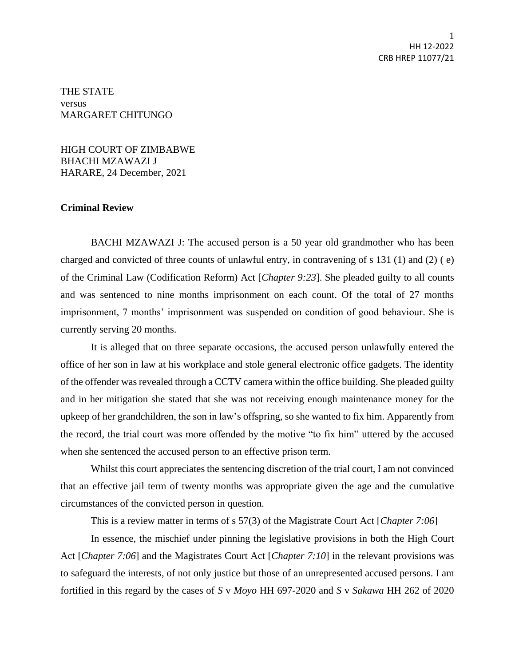THE STATE versus MARGARET CHITUNGO

HIGH COURT OF ZIMBABWE BHACHI MZAWAZI J HARARE, 24 December, 2021

## **Criminal Review**

BACHI MZAWAZI J: The accused person is a 50 year old grandmother who has been charged and convicted of three counts of unlawful entry, in contravening of s 131 (1) and (2) ( e) of the Criminal Law (Codification Reform) Act [*Chapter 9:23*]. She pleaded guilty to all counts and was sentenced to nine months imprisonment on each count. Of the total of 27 months imprisonment, 7 months' imprisonment was suspended on condition of good behaviour. She is currently serving 20 months.

It is alleged that on three separate occasions, the accused person unlawfully entered the office of her son in law at his workplace and stole general electronic office gadgets. The identity of the offender was revealed through a CCTV camera within the office building. She pleaded guilty and in her mitigation she stated that she was not receiving enough maintenance money for the upkeep of her grandchildren, the son in law's offspring, so she wanted to fix him. Apparently from the record, the trial court was more offended by the motive "to fix him" uttered by the accused when she sentenced the accused person to an effective prison term.

Whilst this court appreciates the sentencing discretion of the trial court, I am not convinced that an effective jail term of twenty months was appropriate given the age and the cumulative circumstances of the convicted person in question.

This is a review matter in terms of s 57(3) of the Magistrate Court Act [*Chapter 7:06*]

In essence, the mischief under pinning the legislative provisions in both the High Court Act [*Chapter 7:06*] and the Magistrates Court Act [*Chapter 7:10*] in the relevant provisions was to safeguard the interests, of not only justice but those of an unrepresented accused persons. I am fortified in this regard by the cases of *S* v *Moyo* HH 697-2020 and *S* v *Sakawa* HH 262 of 2020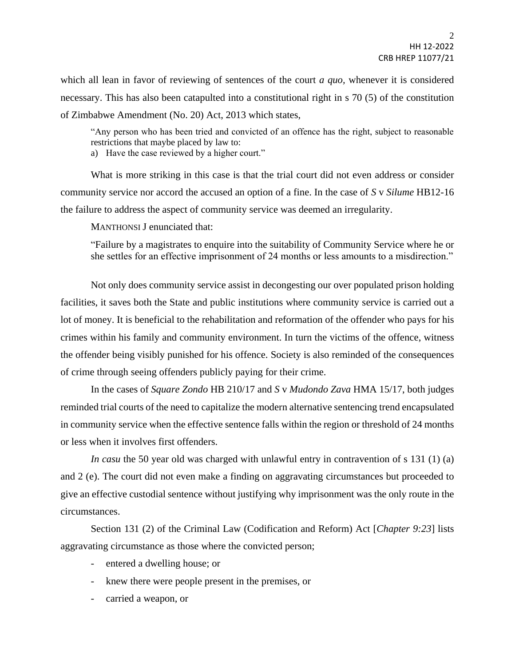which all lean in favor of reviewing of sentences of the court *a quo,* whenever it is considered necessary. This has also been catapulted into a constitutional right in s 70 (5) of the constitution of Zimbabwe Amendment (No. 20) Act, 2013 which states,

"Any person who has been tried and convicted of an offence has the right, subject to reasonable restrictions that maybe placed by law to:

a) Have the case reviewed by a higher court."

What is more striking in this case is that the trial court did not even address or consider community service nor accord the accused an option of a fine. In the case of *S* v *Silume* HB12-16 the failure to address the aspect of community service was deemed an irregularity.

MANTHONSI J enunciated that:

"Failure by a magistrates to enquire into the suitability of Community Service where he or she settles for an effective imprisonment of 24 months or less amounts to a misdirection."

Not only does community service assist in decongesting our over populated prison holding facilities, it saves both the State and public institutions where community service is carried out a lot of money. It is beneficial to the rehabilitation and reformation of the offender who pays for his crimes within his family and community environment. In turn the victims of the offence, witness the offender being visibly punished for his offence. Society is also reminded of the consequences of crime through seeing offenders publicly paying for their crime.

In the cases of *Square Zondo* HB 210/17 and *S* v *Mudondo Zava* HMA 15/17, both judges reminded trial courts of the need to capitalize the modern alternative sentencing trend encapsulated in community service when the effective sentence falls within the region or threshold of 24 months or less when it involves first offenders.

*In casu* the 50 year old was charged with unlawful entry in contravention of s 131 (1) (a) and 2 (e). The court did not even make a finding on aggravating circumstances but proceeded to give an effective custodial sentence without justifying why imprisonment was the only route in the circumstances.

Section 131 (2) of the Criminal Law (Codification and Reform) Act [*Chapter 9:23*] lists aggravating circumstance as those where the convicted person;

- entered a dwelling house; or
- knew there were people present in the premises, or
- carried a weapon, or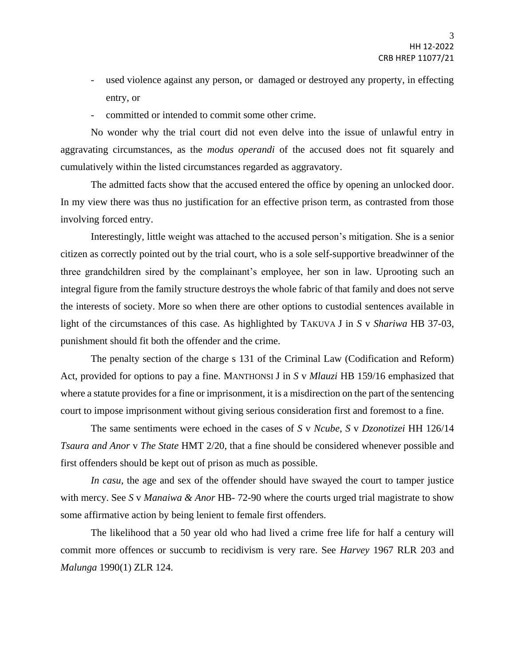- used violence against any person, or damaged or destroyed any property, in effecting entry, or
- committed or intended to commit some other crime.

No wonder why the trial court did not even delve into the issue of unlawful entry in aggravating circumstances, as the *modus operandi* of the accused does not fit squarely and cumulatively within the listed circumstances regarded as aggravatory.

The admitted facts show that the accused entered the office by opening an unlocked door. In my view there was thus no justification for an effective prison term, as contrasted from those involving forced entry.

Interestingly, little weight was attached to the accused person's mitigation. She is a senior citizen as correctly pointed out by the trial court, who is a sole self-supportive breadwinner of the three grandchildren sired by the complainant's employee, her son in law. Uprooting such an integral figure from the family structure destroys the whole fabric of that family and does not serve the interests of society. More so when there are other options to custodial sentences available in light of the circumstances of this case. As highlighted by TAKUVA J in *S* v *Shariwa* HB 37-03, punishment should fit both the offender and the crime.

The penalty section of the charge s 131 of the Criminal Law (Codification and Reform) Act, provided for options to pay a fine. MANTHONSI J in *S* v *Mlauzi* HB 159/16 emphasized that where a statute provides for a fine or imprisonment, it is a misdirection on the part of the sentencing court to impose imprisonment without giving serious consideration first and foremost to a fine.

The same sentiments were echoed in the cases of *S* v *Ncube*, *S* v *Dzonotizei* HH 126/14 *Tsaura and Anor* v *The State* HMT 2/20, that a fine should be considered whenever possible and first offenders should be kept out of prison as much as possible.

*In casu*, the age and sex of the offender should have swayed the court to tamper justice with mercy. See *S* v *Manaiwa & Anor* HB- 72-90 where the courts urged trial magistrate to show some affirmative action by being lenient to female first offenders.

The likelihood that a 50 year old who had lived a crime free life for half a century will commit more offences or succumb to recidivism is very rare. See *Harvey* 1967 RLR 203 and *Malunga* 1990(1) ZLR 124.